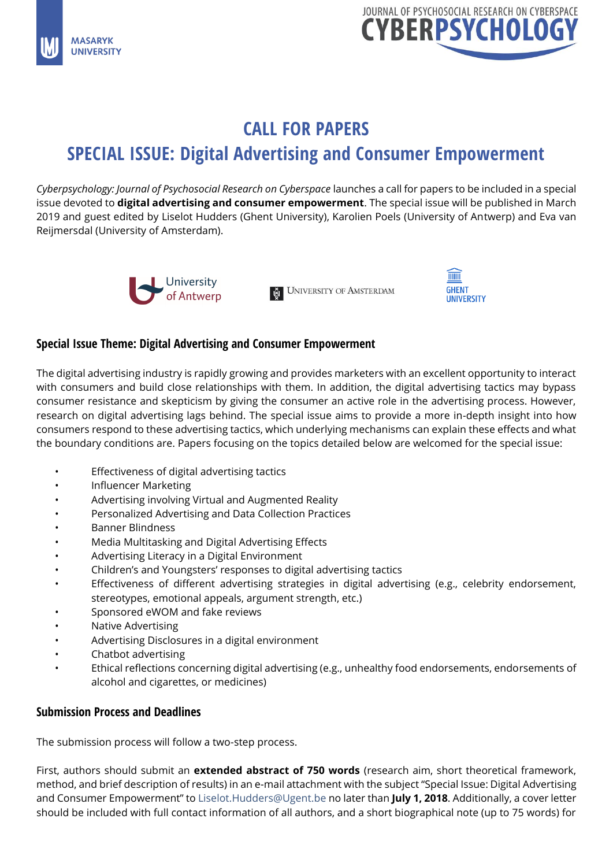



# **CALL FOR PAPERS SPECIAL ISSUE: Digital Advertising and Consumer Empowerment**

*Cyberpsychology: Journal of Psychosocial Research on Cyberspace* launches a call for papers to be included in a special issue devoted to **digital advertising and consumer empowerment**. The special issue will be published in March 2019 and guest edited by Liselot Hudders (Ghent University), Karolien Poels (University of Antwerp) and Eva van Reijmersdal (University of Amsterdam).



E UNIVERSITY OF AMSTERDAM



# **Special Issue Theme: Digital Advertising and Consumer Empowerment**

The digital advertising industry is rapidly growing and provides marketers with an excellent opportunity to interact with consumers and build close relationships with them. In addition, the digital advertising tactics may bypass consumer resistance and skepticism by giving the consumer an active role in the advertising process. However, research on digital advertising lags behind. The special issue aims to provide a more in-depth insight into how consumers respond to these advertising tactics, which underlying mechanisms can explain these effects and what the boundary conditions are. Papers focusing on the topics detailed below are welcomed for the special issue:

- Effectiveness of digital advertising tactics
- Influencer Marketing
- Advertising involving Virtual and Augmented Reality
- Personalized Advertising and Data Collection Practices
- Banner Blindness
- Media Multitasking and Digital Advertising Effects
- Advertising Literacy in a Digital Environment
- Children's and Youngsters' responses to digital advertising tactics
- Effectiveness of different advertising strategies in digital advertising (e.g., celebrity endorsement, stereotypes, emotional appeals, argument strength, etc.)
- Sponsored eWOM and fake reviews
- Native Advertising
- Advertising Disclosures in a digital environment
- Chatbot advertising
- Ethical reflections concerning digital advertising (e.g., unhealthy food endorsements, endorsements of alcohol and cigarettes, or medicines)

### **Submission Process and Deadlines**

The submission process will follow a two-step process.

First, authors should submit an **extended abstract of 750 words** (research aim, short theoretical framework, method, and brief description of results) in an e-mail attachment with the subject "Special Issue: Digital Advertising and Consumer Empowerment" to [Liselot.Hudders@Ugent.be](mailto:Liselot.Hudders@Ugent.be) no later than **July 1, 2018**. Additionally, a cover letter should be included with full contact information of all authors, and a short biographical note (up to 75 words) for